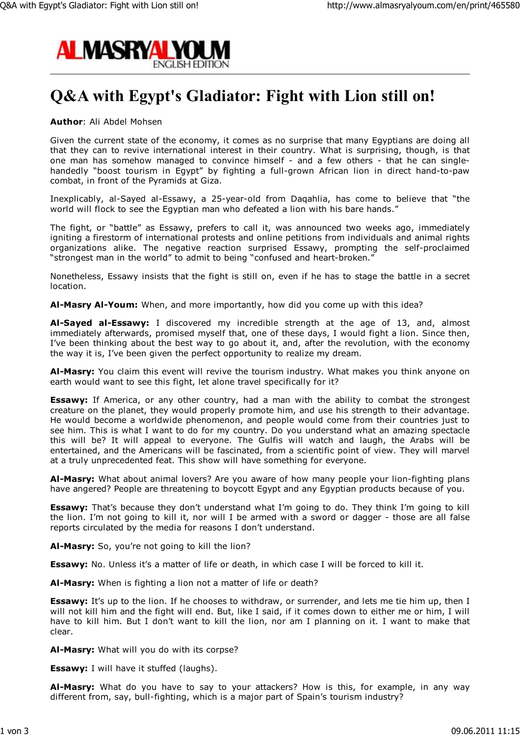

## **Q&A with Egypt's Gladiator: Fight with Lion still on!**

## **Author**: Ali Abdel Mohsen

Given the current state of the economy, it comes as no surprise that many Egyptians are doing all that they can to revive international interest in their country. What is surprising, though, is that one man has somehow managed to convince himself - and a few others - that he can singlehandedly "boost tourism in Egypt" by fighting a full-grown African lion in direct hand-to-paw combat, in front of the Pyramids at Giza.

Inexplicably, al-Sayed al-Essawy, a 25-year-old from Daqahlia, has come to believe that "the world will flock to see the Egyptian man who defeated a lion with his bare hands."

The fight, or "battle" as Essawy, prefers to call it, was announced two weeks ago, immediately igniting a firestorm of international protests and online petitions from individuals and animal rights organizations alike. The negative reaction surprised Essawy, prompting the self-proclaimed "strongest man in the world" to admit to being "confused and heart-broken."

Nonetheless, Essawy insists that the fight is still on, even if he has to stage the battle in a secret location.

**Al-Masry Al-Youm:** When, and more importantly, how did you come up with this idea?

**Al-Sayed al-Essawy:** I discovered my incredible strength at the age of 13, and, almost immediately afterwards, promised myself that, one of these days, I would fight a lion. Since then, I've been thinking about the best way to go about it, and, after the revolution, with the economy the way it is, I've been given the perfect opportunity to realize my dream.

**Al-Masry:** You claim this event will revive the tourism industry. What makes you think anyone on earth would want to see this fight, let alone travel specifically for it?

**Essawy:** If America, or any other country, had a man with the ability to combat the strongest creature on the planet, they would properly promote him, and use his strength to their advantage. He would become a worldwide phenomenon, and people would come from their countries just to see him. This is what I want to do for my country. Do you understand what an amazing spectacle this will be? It will appeal to everyone. The Gulfis will watch and laugh, the Arabs will be entertained, and the Americans will be fascinated, from a scientific point of view. They will marvel at a truly unprecedented feat. This show will have something for everyone.

**Al-Masry:** What about animal lovers? Are you aware of how many people your lion-fighting plans have angered? People are threatening to boycott Egypt and any Egyptian products because of you.

**Essawy:** That's because they don't understand what I'm going to do. They think I'm going to kill the lion. I'm not going to kill it, nor will I be armed with a sword or dagger - those are all false reports circulated by the media for reasons I don't understand.

**Al-Masry:** So, you're not going to kill the lion?

**Essawy:** No. Unless it's a matter of life or death, in which case I will be forced to kill it.

**Al-Masry:** When is fighting a lion not a matter of life or death?

**Essawy:** It's up to the lion. If he chooses to withdraw, or surrender, and lets me tie him up, then I will not kill him and the fight will end. But, like I said, if it comes down to either me or him, I will have to kill him. But I don't want to kill the lion, nor am I planning on it. I want to make that clear.

**Al-Masry:** What will you do with its corpse?

**Essawy:** I will have it stuffed (laughs).

**Al-Masry:** What do you have to say to your attackers? How is this, for example, in any way different from, say, bull-fighting, which is a major part of Spain's tourism industry?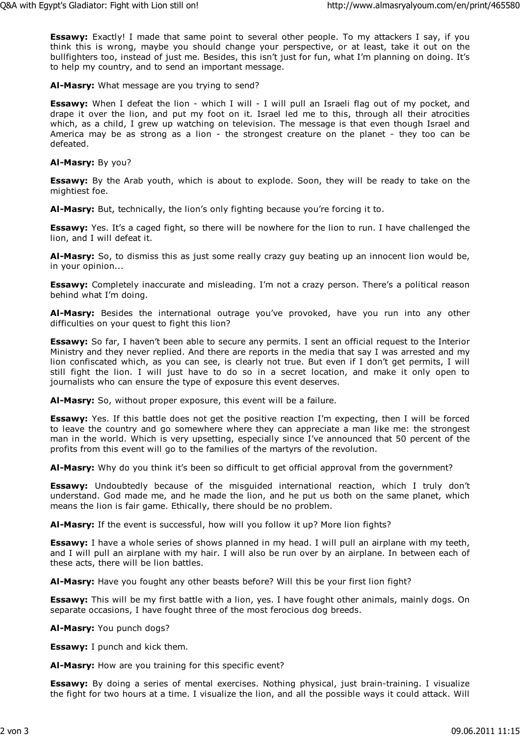**Essawy:** Exactly! I made that same point to several other people. To my attackers I say, if you think this is wrong, maybe you should change your perspective, or at least, take it out on the bullfighters too, instead of just me. Besides, this isn't just for fun, what I'm planning on doing. It's to help my country, and to send an important message.

**Al-Masry:** What message are you trying to send?

**Essawy:** When I defeat the lion - which I will - I will pull an Israeli flag out of my pocket, and drape it over the lion, and put my foot on it. Israel led me to this, through all their atrocities which, as a child, I grew up watching on television. The message is that even though Israel and America may be as strong as a lion - the strongest creature on the planet - they too can be defeated.

**Al-Masry:** By you?

**Essawy:** By the Arab youth, which is about to explode. Soon, they will be ready to take on the mightiest foe.

**Al-Masry:** But, technically, the lion's only fighting because you're forcing it to.

**Essawy:** Yes. It's a caged fight, so there will be nowhere for the lion to run. I have challenged the lion, and I will defeat it.

**Al-Masry:** So, to dismiss this as just some really crazy guy beating up an innocent lion would be, in your opinion...

**Essawy:** Completely inaccurate and misleading. I'm not a crazy person. There's a political reason behind what I'm doing.

**Al-Masry:** Besides the international outrage you've provoked, have you run into any other difficulties on your quest to fight this lion?

**Essawy:** So far, I haven't been able to secure any permits. I sent an official request to the Interior Ministry and they never replied. And there are reports in the media that say I was arrested and my lion confiscated which, as you can see, is clearly not true. But even if I don't get permits, I will still fight the lion. I will just have to do so in a secret location, and make it only open to journalists who can ensure the type of exposure this event deserves.

**Al-Masry:** So, without proper exposure, this event will be a failure.

**Essawy:** Yes. If this battle does not get the positive reaction I'm expecting, then I will be forced to leave the country and go somewhere where they can appreciate a man like me: the strongest man in the world. Which is very upsetting, especially since I've announced that 50 percent of the profits from this event will go to the families of the martyrs of the revolution.

**Al-Masry:** Why do you think it's been so difficult to get official approval from the government?

**Essawy:** Undoubtedly because of the misguided international reaction, which I truly don't understand. God made me, and he made the lion, and he put us both on the same planet, which means the lion is fair game. Ethically, there should be no problem.

**Al-Masry:** If the event is successful, how will you follow it up? More lion fights?

**Essawy:** I have a whole series of shows planned in my head. I will pull an airplane with my teeth, and I will pull an airplane with my hair. I will also be run over by an airplane. In between each of these acts, there will be lion battles.

**Al-Masry:** Have you fought any other beasts before? Will this be your first lion fight?

**Essawy:** This will be my first battle with a lion, yes. I have fought other animals, mainly dogs. On separate occasions, I have fought three of the most ferocious dog breeds.

**Al-Masry:** You punch dogs?

**Essawy:** I punch and kick them.

**Al-Masry:** How are you training for this specific event?

**Essawy:** By doing a series of mental exercises. Nothing physical, just brain-training. I visualize the fight for two hours at a time. I visualize the lion, and all the possible ways it could attack. Will